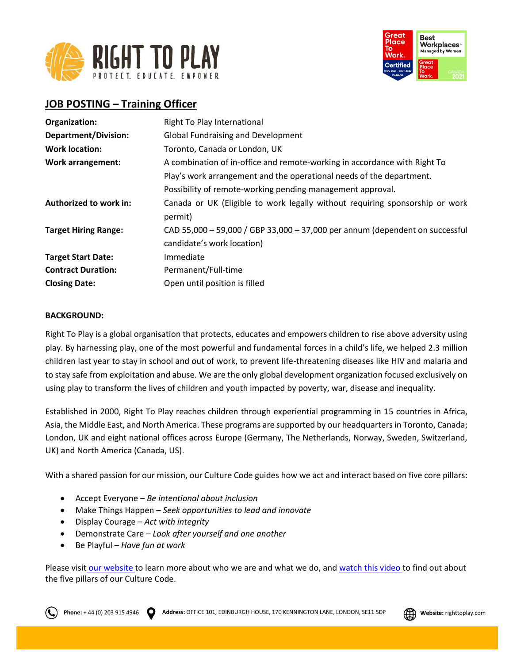



# **JOB POSTING – Training Officer**

| Organization:               | Right To Play International                                                  |
|-----------------------------|------------------------------------------------------------------------------|
| <b>Department/Division:</b> | <b>Global Fundraising and Development</b>                                    |
| <b>Work location:</b>       | Toronto, Canada or London, UK                                                |
| <b>Work arrangement:</b>    | A combination of in-office and remote-working in accordance with Right To    |
|                             | Play's work arrangement and the operational needs of the department.         |
|                             | Possibility of remote-working pending management approval.                   |
| Authorized to work in:      | Canada or UK (Eligible to work legally without requiring sponsorship or work |
|                             | permit)                                                                      |
| <b>Target Hiring Range:</b> | CAD 55,000 - 59,000 / GBP 33,000 - 37,000 per annum (dependent on successful |
|                             | candidate's work location)                                                   |
| <b>Target Start Date:</b>   | Immediate                                                                    |
| <b>Contract Duration:</b>   | Permanent/Full-time                                                          |
| <b>Closing Date:</b>        | Open until position is filled                                                |

## **BACKGROUND:**

Right To Play is a global organisation that protects, educates and empowers children to rise above adversity using play. By harnessing play, one of the most powerful and fundamental forces in a child's life, we helped 2.3 million children last year to stay in school and out of work, to prevent life-threatening diseases like HIV and malaria and to stay safe from exploitation and abuse. We are the only global development organization focused exclusively on using play to transform the lives of children and youth impacted by poverty, war, disease and inequality.

Established in 2000, Right To Play reaches children through experiential programming in 15 countries in Africa, Asia, the Middle East, and North America. These programs are supported by our headquarters in Toronto, Canada; London, UK and eight national offices across Europe (Germany, The Netherlands, Norway, Sweden, Switzerland, UK) and North America (Canada, US).

With a shared passion for our mission, our Culture Code guides how we act and interact based on five core pillars:

- Accept Everyone *Be intentional about inclusion*
- Make Things Happen *Seek opportunities to lead and innovate*
- Display Courage *Act with integrity*
- Demonstrate Care *Look after yourself and one another*
- Be Playful *Have fun at work*

Please visit [our website](http://www.righttoplay.ca/) to learn more about who we are and what we do, and [watch this video](https://www.righttoplay.com/en/landing/our-culture-code/) to find out about the five pillars of our Culture Code.

**Phone:** + 44 (0) 203 915 4946 **Address:** OFFICE 101, EDINBURGH HOUSE, 170 KENNINGTON LANE, LONDON, SE11 5DP **COM** Website: righttoplay.com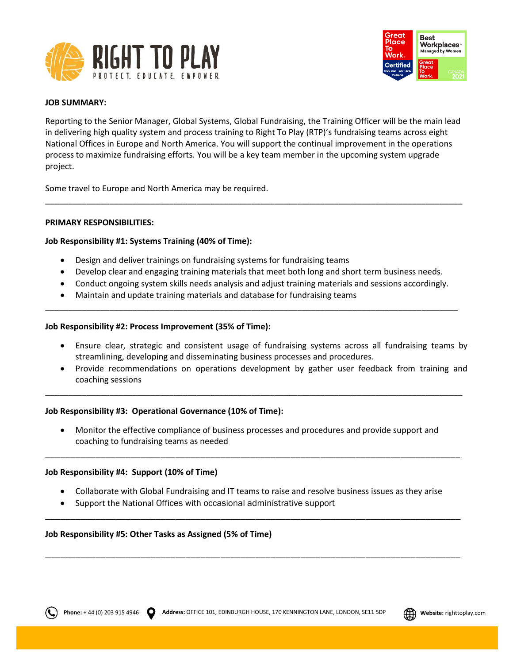



# **JOB SUMMARY:**

Reporting to the Senior Manager, Global Systems, Global Fundraising, the Training Officer will be the main lead in delivering high quality system and process training to Right To Play (RTP)'s fundraising teams across eight National Offices in Europe and North America. You will support the continual improvement in the operations process to maximize fundraising efforts. You will be a key team member in the upcoming system upgrade project.

\_\_\_\_\_\_\_\_\_\_\_\_\_\_\_\_\_\_\_\_\_\_\_\_\_\_\_\_\_\_\_\_\_\_\_\_\_\_\_\_\_\_\_\_\_\_\_\_\_\_\_\_\_\_\_\_\_\_\_\_\_\_\_\_\_\_\_\_\_\_\_\_\_\_\_\_\_\_\_\_\_\_\_\_\_\_\_\_\_\_\_

Some travel to Europe and North America may be required.

### **PRIMARY RESPONSIBILITIES:**

## **Job Responsibility #1: Systems Training (40% of Time):**

- Design and deliver trainings on fundraising systems for fundraising teams
- Develop clear and engaging training materials that meet both long and short term business needs.
- Conduct ongoing system skills needs analysis and adjust training materials and sessions accordingly.

\_\_\_\_\_\_\_\_\_\_\_\_\_\_\_\_\_\_\_\_\_\_\_\_\_\_\_\_\_\_\_\_\_\_\_\_\_\_\_\_\_\_\_\_\_\_\_\_\_\_\_\_\_\_\_\_\_\_\_\_\_\_\_\_\_\_\_\_\_\_\_\_\_\_\_\_\_\_\_\_\_\_\_\_\_\_\_\_\_\_

• Maintain and update training materials and database for fundraising teams

### **Job Responsibility #2: Process Improvement (35% of Time):**

- Ensure clear, strategic and consistent usage of fundraising systems across all fundraising teams by streamlining, developing and disseminating business processes and procedures.
- Provide recommendations on operations development by gather user feedback from training and coaching sessions

### **Job Responsibility #3: Operational Governance (10% of Time):**

• Monitor the effective compliance of business processes and procedures and provide support and coaching to fundraising teams as needed

\_\_\_\_\_\_\_\_\_\_\_\_\_\_\_\_\_\_\_\_\_\_\_\_\_\_\_\_\_\_\_\_\_\_\_\_\_\_\_\_\_\_\_\_\_\_\_\_\_\_\_\_\_\_\_\_\_\_\_\_\_\_\_\_\_\_\_\_\_\_\_\_\_\_\_\_\_\_\_\_\_\_\_

\_\_\_\_\_\_\_\_\_\_\_\_\_\_\_\_\_\_\_\_\_\_\_\_\_\_\_\_\_\_\_\_\_\_\_\_\_\_\_\_\_\_\_\_\_\_\_\_\_\_\_\_\_\_\_\_\_\_\_\_\_\_\_\_\_\_\_\_\_\_\_\_\_\_\_\_\_\_\_\_\_\_\_\_\_\_\_\_\_\_\_

### **Job Responsibility #4: Support (10% of Time)**

• Collaborate with Global Fundraising and IT teams to raise and resolve business issues as they arise

\_\_\_\_\_\_\_\_\_\_\_\_\_\_\_\_\_\_\_\_\_\_\_\_\_\_\_\_\_\_\_\_\_\_\_\_\_\_\_\_\_\_\_\_\_\_\_\_\_\_\_\_\_\_\_\_\_\_\_\_\_\_\_\_\_\_\_\_\_\_\_\_\_\_\_\_\_\_\_\_\_\_\_

\_\_\_\_\_\_\_\_\_\_\_\_\_\_\_\_\_\_\_\_\_\_\_\_\_\_\_\_\_\_\_\_\_\_\_\_\_\_\_\_\_\_\_\_\_\_\_\_\_\_\_\_\_\_\_\_\_\_\_\_\_\_\_\_\_\_\_\_\_\_\_\_\_\_\_\_\_\_\_\_\_\_\_

• Support the National Offices with occasional administrative support

# **Job Responsibility #5: Other Tasks as Assigned (5% of Time)**

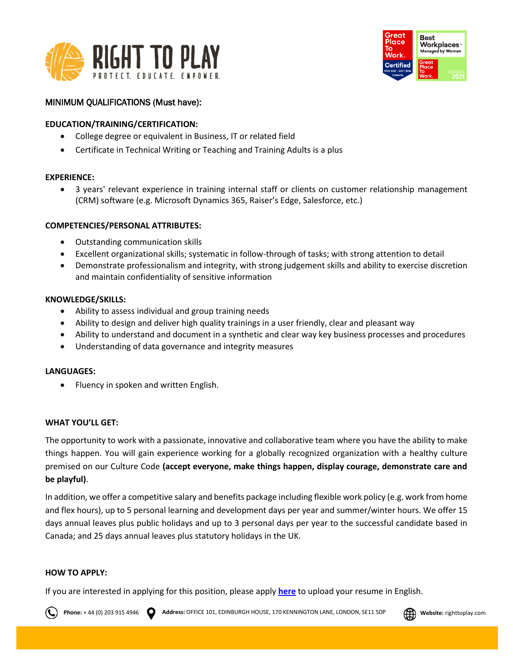



# MINIMUM QUALIFICATIONS (Must have):

# **EDUCATION/TRAINING/CERTIFICATION:**

- College degree or equivalent in Business, IT or related field
- Certificate in Technical Writing or Teaching and Training Adults is a plus

## **EXPERIENCE:**

• 3 years' relevant experience in training internal staff or clients on customer relationship management (CRM) software (e.g. Microsoft Dynamics 365, Raiser's Edge, Salesforce, etc.)

## **COMPETENCIES/PERSONAL ATTRIBUTES:**

- Outstanding communication skills
- Excellent organizational skills; systematic in follow-through of tasks; with strong attention to detail
- Demonstrate professionalism and integrity, with strong judgement skills and ability to exercise discretion and maintain confidentiality of sensitive information

## **KNOWLEDGE/SKILLS:**

- Ability to assess individual and group training needs
- Ability to design and deliver high quality trainings in a user friendly, clear and pleasant way
- Ability to understand and document in a synthetic and clear way key business processes and procedures
- Understanding of data governance and integrity measures

### **LANGUAGES:**

• Fluency in spoken and written English.

# **WHAT YOU'LL GET:**

The opportunity to work with a passionate, innovative and collaborative team where you have the ability to make things happen. You will gain experience working for a globally recognized organization with a healthy culture premised on our Culture Code **(accept everyone, make things happen, display courage, demonstrate care and be playful)**.

In addition, we offer a competitive salary and benefits package including flexible work policy (e.g. work from home and flex hours), up to 5 personal learning and development days per year and summer/winter hours. We offer 15 days annual leaves plus public holidays and up to 3 personal days per year to the successful candidate based in Canada; and 25 days annual leaves plus statutory holidays in the UK.

### **HOW TO APPLY:**

If you are interested in applying for this position, please apply **[here](https://righttoplay.hiringplatform.ca/58267-training-and-documentation-officer/203106-application-form/en)** to upload your resume in English.

**Phone:** + 44 (0) 203 915 4946 **Address:** OFFICE 101, EDINBURGH HOUSE, 170 KENNINGTON LANE, LONDON, SE11 5DP **Website:** righttoplay.com